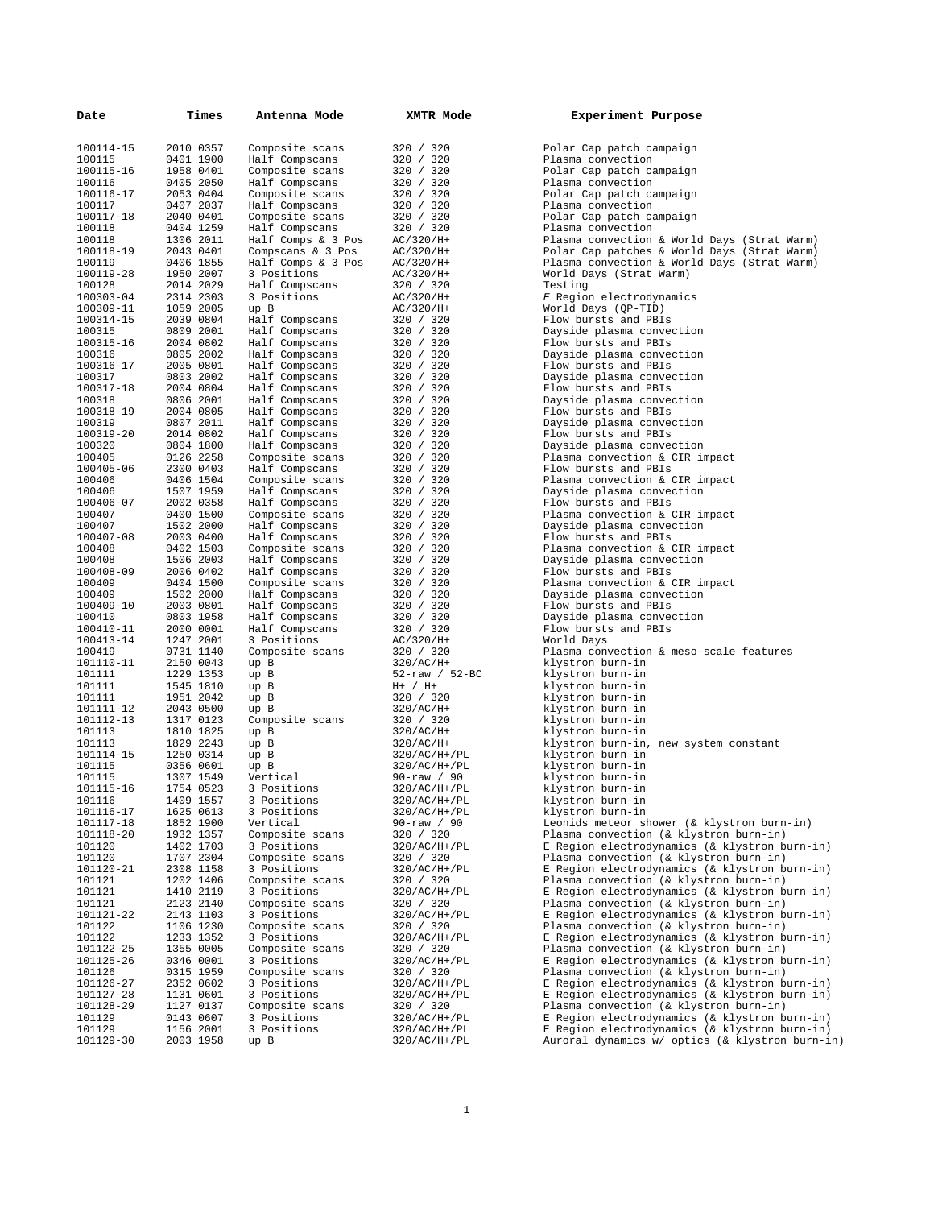| Date             | Times                  | Antenna Mode            | XMTR Mode                          | Experiment Purpose                              |
|------------------|------------------------|-------------------------|------------------------------------|-------------------------------------------------|
|                  |                        |                         |                                    |                                                 |
| 100114-15        | 2010 0357              | Composite scans         | 320 / 320                          | Polar Cap patch campaign                        |
| 100115           | 0401 1900              | Half Compscans          | 320 / 320                          | Plasma convection                               |
| 100115-16        | 1958 0401              | Composite scans         | 320 / 320                          | Polar Cap patch campaign                        |
| 100116           | 0405 2050              | Half Compscans          | 320 / 320                          | Plasma convection                               |
| 100116-17        | 2053 0404              | Composite scans         | 320 / 320                          | Polar Cap patch campaign                        |
| 100117           | 0407 2037              | Half Compscans          | 320 / 320                          | Plasma convection                               |
| 100117-18        | 2040 0401              | Composite scans         | 320 / 320                          | Polar Cap patch campaign                        |
| 100118           | 0404 1259              | Half Compscans          | 320 / 320                          | Plasma convection                               |
| 100118           | 1306 2011              | Half Comps & 3 Pos      | AC/320/H+                          | Plasma convection & World Days (Strat Warm)     |
| 100118-19        | 2043 0401              | Compscans $\&$ 3 Pos    | AC/320/H+                          | Polar Cap patches & World Days (Strat Warm)     |
| 100119           | 0406 1855              | Half Comps & $3$ Pos    | $AC/320/H+$                        | Plasma convection & World Days (Strat Warm)     |
| 100119-28        | 1950 2007              | 3 Positions             | AC/320/H+                          | World Days (Strat Warm)                         |
| 100128           | 2014 2029              | Half Compscans          | 320 / 320                          | Testing                                         |
| 100303-04        | 2314 2303              | 3 Positions             | AC/320/H+                          | E Region electrodynamics                        |
| 100309-11        | 1059 2005              | up B                    | $AC/320/H+$                        | World Days (QP-TID)                             |
| 100314-15        | 2039 0804              | Half Compscans          | 320 / 320                          | Flow bursts and PBIs                            |
| 100315           | 0809 2001              | Half Compscans          | 320 / 320                          | Dayside plasma convection                       |
| 100315-16        | 2004 0802              | Half Compscans          | 320 / 320                          | Flow bursts and PBIs                            |
| 100316           | 0805 2002              | Half Compscans          | 320 / 320                          | Dayside plasma convection                       |
| 100316-17        | 2005 0801              | Half Compscans          | 320 / 320                          | Flow bursts and PBIs                            |
| 100317           | 0803 2002              | Half Compscans          | 320 / 320                          | Dayside plasma convection                       |
| 100317-18        | 2004 0804              | Half Compscans          | 320 / 320                          | Flow bursts and PBIs                            |
| 100318           | 0806 2001              | Half Compscans          | 320 / 320                          | Dayside plasma convection                       |
| 100318-19        | 2004 0805              | Half Compscans          | 320 / 320                          | Flow bursts and PBIs                            |
| 100319           | 0807 2011              | Half Compscans          | 320 / 320                          | Dayside plasma convection                       |
| 100319-20        | 2014 0802              | Half Compscans          | 320 / 320                          | Flow bursts and PBIs                            |
| 100320           | 0804 1800              | Half Compscans          | 320 / 320                          | Dayside plasma convection                       |
| 100405           | 0126 2258              | Composite scans         | 320 / 320                          | Plasma convection & CIR impact                  |
| 100405-06        | 2300 0403              | Half Compscans          | 320 / 320                          | Flow bursts and PBIs                            |
| 100406           | 0406 1504              | Composite scans         | 320 / 320                          | Plasma convection & CIR impact                  |
| 100406           | 1507 1959              | Half Compscans          | 320 / 320                          | Dayside plasma convection                       |
| 100406-07        | 2002 0358              | Half Compscans          | 320 / 320                          | Flow bursts and PBIs                            |
| 100407           | 0400 1500              | Composite scans         | 320 / 320                          | Plasma convection & CIR impact                  |
| 100407           | 1502 2000              | Half Compscans          | 320 / 320                          | Dayside plasma convection                       |
| 100407-08        | 2003 0400              | Half Compscans          | 320 / 320                          | Flow bursts and PBIs                            |
| 100408           | 0402 1503              | Composite scans         | 320 / 320                          | Plasma convection & CIR impact                  |
| 100408           | 1506 2003              | Half Compscans          | 320 / 320                          | Dayside plasma convection                       |
| 100408-09        | 2006 0402              | Half Compscans          | 320 / 320                          | Flow bursts and PBIs                            |
| 100409           | 0404 1500              | Composite scans         | 320 / 320                          | Plasma convection & CIR impact                  |
| 100409           | 1502 2000              | Half Compscans          | 320 / 320                          | Dayside plasma convection                       |
| 100409-10        | 2003 0801              | Half Compscans          | 320 / 320                          | Flow bursts and PBIs                            |
| 100410           | 0803 1958              | Half Compscans          | 320 / 320                          | Dayside plasma convection                       |
| 100410-11        | 2000 0001              | Half Compscans          | 320 / 320                          | Flow bursts and PBIs                            |
| 100413-14        | 1247 2001              | 3 Positions             | AC/320/H+                          | World Days                                      |
| 100419           | 0731 1140              | Composite scans         | 320 / 320                          | Plasma convection & meso-scale features         |
| 101110-11        | 2150 0043              | up B                    | $320/AC/H+$                        | klystron burn-in                                |
| 101111           | 1229 1353              | up B                    | $52 - raw / 52 - BC$               | klystron burn-in                                |
| 101111           | 1545 1810              | up B                    | $H+ / H+$                          | klystron burn-in                                |
| 101111           | 1951 2042              | up B                    | 320 / 320                          | klystron burn-in                                |
| 101111-12        | 2043 0500              | up B                    | $320/AC/H+$                        | klystron burn-in                                |
| 101112-13        | 1317 0123              | Composite scans         | 320 / 320                          | klystron burn-in                                |
| 101113           | 1810 1825              | up B                    | $320/AC/H+$                        | klystron burn-in                                |
| 101113           | 1829 2243              | up B                    | $320/AC/H+$                        | klystron burn-in, new system constant           |
| 101114-15        | 1250 0314              | up B                    | $320/AC/H+$ /PL                    | klystron burn-in                                |
| 101115<br>101115 | 0356 0601<br>1307 1549 | up B                    | $320/AC/H+$ /PL<br>$90 - raw / 90$ | klystron burn-in<br>klystron burn-in            |
| 101115-16        | 1754 0523              | Vertical<br>3 Positions | 320/AC/H+/PL                       | klystron burn-in                                |
| 101116           | 1409 1557              | 3 Positions             | 320/AC/H+/PL                       | klystron burn-in                                |
| 101116-17        | 1625 0613              | 3 Positions             | 320/AC/H+/PL                       | klystron burn-in                                |
| 101117-18        | 1852 1900              | Vertical                | $90 - raw / 90$                    | Leonids meteor shower (& klystron burn-in)      |
| 101118-20        | 1932 1357              | Composite scans         | 320 / 320                          | Plasma convection (& klystron burn-in)          |
| 101120           | 1402 1703              | 3 Positions             | $320/AC/H+/PL$                     | E Region electrodynamics (& klystron burn-in)   |
| 101120           | 1707 2304              | Composite scans         | 320 / 320                          | Plasma convection (& klystron burn-in)          |
| 101120-21        | 2308 1158              | 3 Positions             | $320/AC/H+/PL$                     | E Region electrodynamics (& klystron burn-in)   |
| 101121           | 1202 1406              | Composite scans         | 320 / 320                          | Plasma convection (& klystron burn-in)          |
| 101121           | 1410 2119              | 3 Positions             | $320/AC/H+$ /PL                    | E Region electrodynamics (& klystron burn-in)   |
| 101121           | 2123 2140              | Composite scans         | 320 / 320                          | Plasma convection (& klystron burn-in)          |
| 101121-22        | 2143 1103              | 3 Positions             | $320/AC/H+$ /PL                    | E Region electrodynamics (& klystron burn-in)   |
| 101122           | 1106 1230              | Composite scans         | 320 / 320                          | Plasma convection (& klystron burn-in)          |
| 101122           | 1233 1352              | 3 Positions             | $320/AC/H+$ /PL                    | E Region electrodynamics (& klystron burn-in)   |
| 101122-25        | 1355 0005              | Composite scans         | 320 / 320                          | Plasma convection (& klystron burn-in)          |
| 101125-26        | 0346 0001              | 3 Positions             | $320/AC/H+$ /PL                    | E Region electrodynamics (& klystron burn-in)   |
| 101126           | 0315 1959              | Composite scans         | 320 / 320                          | Plasma convection (& klystron burn-in)          |
| 101126-27        | 2352 0602              | 3 Positions             | $320/AC/H+$ /PL                    | E Region electrodynamics (& klystron burn-in)   |
| 101127-28        | 1131 0601              | 3 Positions             | $320/AC/H+$ /PL                    | E Region electrodynamics (& klystron burn-in)   |
| 101128-29        | 1127 0137              | Composite scans         | 320 / 320                          | Plasma convection (& klystron burn-in)          |
| 101129           | 0143 0607              | 3 Positions             | $320/AC/H+/PL$                     | E Region electrodynamics (& klystron burn-in)   |
| 101129           | 1156 2001              | 3 Positions             | $320/AC/H+$ /PL                    | E Region electrodynamics (& klystron burn-in)   |
| 101129-30        | 2003 1958              | up B                    | 320/AC/H+/PL                       | Auroral dynamics w/ optics (& klystron burn-in) |